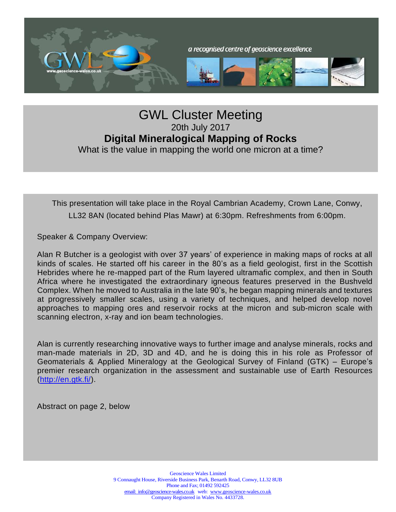

## GWL Cluster Meeting 20th July 2017 **Digital Mineralogical Mapping of Rocks** What is the value in mapping the world one micron at a time?

This presentation will take place in the Royal Cambrian Academy, Crown Lane, Conwy, LL32 8AN (located behind Plas Mawr) at 6:30pm. Refreshments from 6:00pm.

Speaker & Company Overview:

Alan R Butcher is a geologist with over 37 years' of experience in making maps of rocks at all kinds of scales. He started off his career in the 80's as a field geologist, first in the Scottish Hebrides where he re-mapped part of the Rum layered ultramafic complex, and then in South Africa where he investigated the extraordinary igneous features preserved in the Bushveld Complex. When he moved to Australia in the late 90's, he began mapping minerals and textures at progressively smaller scales, using a variety of techniques, and helped develop novel approaches to mapping ores and reservoir rocks at the micron and sub-micron scale with scanning electron, x-ray and ion beam technologies.

Alan is currently researching innovative ways to further image and analyse minerals, rocks and man-made materials in 2D, 3D and 4D, and he is doing this in his role as Professor of Geomaterials & Applied Mineralogy at the Geological Survey of Finland (GTK) – Europe's premier research organization in the assessment and sustainable use of Earth Resources [\(http://en.gtk.fi/\)](http://en.gtk.fi/).

Abstract on page 2, below